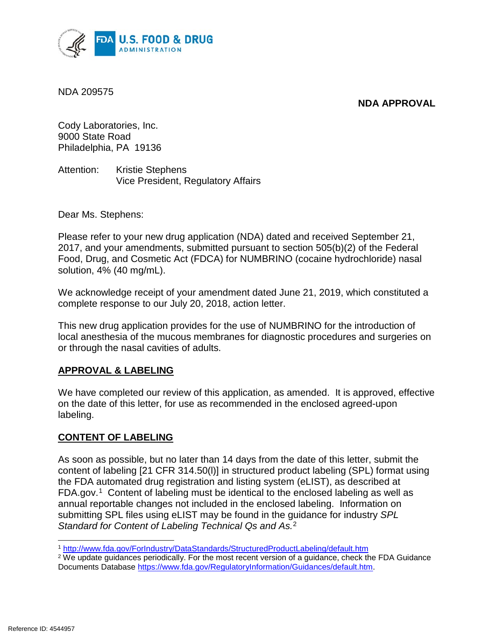



NDA 209575

 Philadelphia, PA 19136 Cody Laboratories, Inc. 9000 State Road

Attention: Kristie Stephens Vice President, Regulatory Affairs

Dear Ms. Stephens:

 Please refer to your new drug application (NDA) dated and received September 21, Food, Drug, and Cosmetic Act (FDCA) for NUMBRINO (cocaine hydrochloride) nasal solution, 4% (40 mg/mL). 2017, and your amendments, submitted pursuant to section 505(b)(2) of the Federal

We acknowledge receipt of your amendment dated June 21, 2019, which constituted a complete response to our July 20, 2018, action letter.

This new drug application provides for the use of NUMBRINO for the introduction of local anesthesia of the mucous membranes for diagnostic procedures and surgeries on or through the nasal cavities of adults.

# **APPROVAL & LABELING**

 We have completed our review of this application, as amended. It is approved, effective labeling. on the date of this letter, for use as recommended in the enclosed agreed-upon

# **CONTENT OF LABELING**

 content of labeling [21 CFR 314.50(l)] in structured product labeling (SPL) format using the FDA automated drug registration and listing system (eLIST), as described at FDA.gov.<sup>1</sup> Content of labeling must be identical to the enclosed labeling as well as As soon as possible, but no later than 14 days from the date of this letter, submit the annual reportable changes not included in the enclosed labeling. Information on submitting SPL files using eLIST may be found in the guidance for industry *SPL Standard for Content of Labeling Technical Qs and As.* 2

 $\overline{a}$ 1 http://www.fda.gov/ForIndustry/DataStandards/StructuredProductLabeling/default.htm

2 We update guidances periodically. For the most recent version of a guidance, check the FDA Guidance Documents Database https://www.fda.gov/RegulatoryInformation/Guidances/default.htm.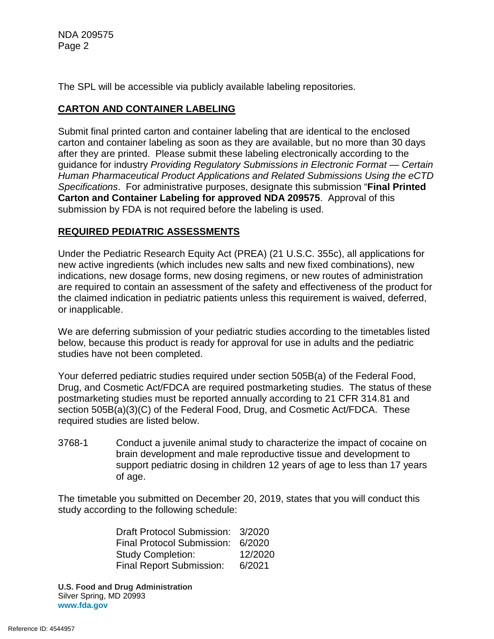The SPL will be accessible via publicly available labeling repositories.

### **CARTON AND CONTAINER LABELING**

 carton and container labeling as soon as they are available, but no more than 30 days guidance for industry *Providing Regulatory Submissions in Electronic Format — Certain*  **Carton and Container Labeling for approved NDA 209575**. Approval of this Submit final printed carton and container labeling that are identical to the enclosed after they are printed. Please submit these labeling electronically according to the *Human Pharmaceutical Product Applications and Related Submissions Using the eCTD Specifications*. For administrative purposes, designate this submission "**Final Printed**  submission by FDA is not required before the labeling is used.

### **REQUIRED PEDIATRIC ASSESSMENTS**

 indications, new dosage forms, new dosing regimens, or new routes of administration Under the Pediatric Research Equity Act (PREA) (21 U.S.C. 355c), all applications for new active ingredients (which includes new salts and new fixed combinations), new are required to contain an assessment of the safety and effectiveness of the product for the claimed indication in pediatric patients unless this requirement is waived, deferred, or inapplicable.

We are deferring submission of your pediatric studies according to the timetables listed below, because this product is ready for approval for use in adults and the pediatric studies have not been completed.

 postmarketing studies must be reported annually according to 21 CFR 314.81 and Your deferred pediatric studies required under section 505B(a) of the Federal Food, Drug, and Cosmetic Act/FDCA are required postmarketing studies. The status of these section 505B(a)(3)(C) of the Federal Food, Drug, and Cosmetic Act/FDCA. These required studies are listed below.

3768-1 Conduct a juvenile animal study to characterize the impact of cocaine on brain development and male reproductive tissue and development to support pediatric dosing in children 12 years of age to less than 17 years of age.

The timetable you submitted on December 20, 2019, states that you will conduct this study according to the following schedule:

> Draft Protocol Submission: 3/2020 Final Protocol Submission: 6/2020 Study Completion: 12/2020 Final Report Submission: 6/2021

 **U.S. Food and Drug Administration** Silver Spring, MD 20993 **www.fda.gov**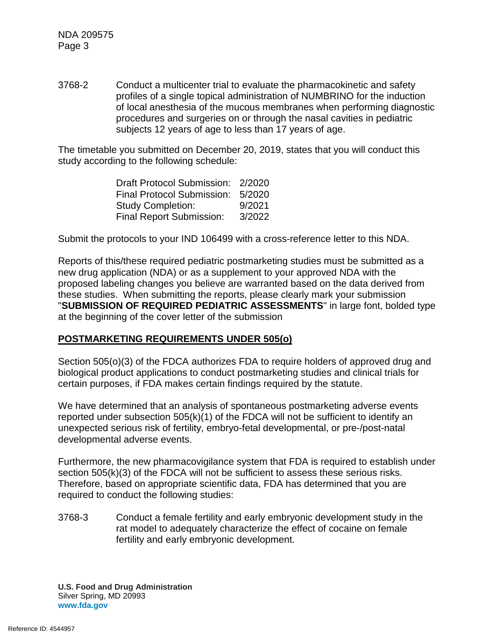3768-2 Conduct a multicenter trial to evaluate the pharmacokinetic and safety profiles of a single topical administration of NUMBRINO for the induction of local anesthesia of the mucous membranes when performing diagnostic procedures and surgeries on or through the nasal cavities in pediatric subjects 12 years of age to less than 17 years of age.

The timetable you submitted on December 20, 2019, states that you will conduct this study according to the following schedule:

> Draft Protocol Submission: 2/2020 Final Protocol Submission: 5/2020 Final Report Submission: 3/2022 Study Completion: 9/2021

Submit the protocols to your IND 106499 with a cross-reference letter to this NDA.

Reports of this/these required pediatric postmarketing studies must be submitted as a new drug application (NDA) or as a supplement to your approved NDA with the proposed labeling changes you believe are warranted based on the data derived from these studies. When submitting the reports, please clearly mark your submission "**SUBMISSION OF REQUIRED PEDIATRIC ASSESSMENTS**" in large font, bolded type at the beginning of the cover letter of the submission

### **POSTMARKETING REQUIREMENTS UNDER 505(o)**

Section 505(o)(3) of the FDCA authorizes FDA to require holders of approved drug and biological product applications to conduct postmarketing studies and clinical trials for certain purposes, if FDA makes certain findings required by the statute.

 We have determined that an analysis of spontaneous postmarketing adverse events developmental adverse events. reported under subsection 505(k)(1) of the FDCA will not be sufficient to identify an unexpected serious risk of fertility, embryo-fetal developmental, or pre-/post-natal

 Therefore, based on appropriate scientific data, FDA has determined that you are Furthermore, the new pharmacovigilance system that FDA is required to establish under section 505(k)(3) of the FDCA will not be sufficient to assess these serious risks. required to conduct the following studies:

3768-3 Conduct a female fertility and early embryonic development study in the rat model to adequately characterize the effect of cocaine on female fertility and early embryonic development.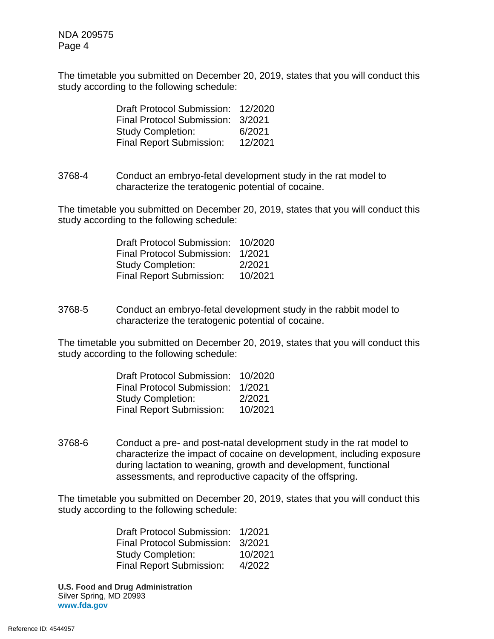The timetable you submitted on December 20, 2019, states that you will conduct this study according to the following schedule:

| <b>Draft Protocol Submission:</b> | 12/2020 |
|-----------------------------------|---------|
| <b>Final Protocol Submission:</b> | 3/2021  |
| <b>Study Completion:</b>          | 6/2021  |
| <b>Final Report Submission:</b>   | 12/2021 |

3768-4 Conduct an embryo-fetal development study in the rat model to characterize the teratogenic potential of cocaine.

The timetable you submitted on December 20, 2019, states that you will conduct this study according to the following schedule:

| <b>Draft Protocol Submission:</b> | 10/2020 |
|-----------------------------------|---------|
| <b>Final Protocol Submission:</b> | 1/2021  |
| <b>Study Completion:</b>          | 2/2021  |
| <b>Final Report Submission:</b>   | 10/2021 |

3768-5 Conduct an embryo-fetal development study in the rabbit model to characterize the teratogenic potential of cocaine.

The timetable you submitted on December 20, 2019, states that you will conduct this study according to the following schedule:

| <b>Draft Protocol Submission:</b> | 10/2020 |
|-----------------------------------|---------|
| <b>Final Protocol Submission:</b> | 1/2021  |
| <b>Study Completion:</b>          | 2/2021  |
| <b>Final Report Submission:</b>   | 10/2021 |

3768-6 during lactation to weaning, growth and development, functional Conduct a pre- and post-natal development study in the rat model to characterize the impact of cocaine on development, including exposure assessments, and reproductive capacity of the offspring.

The timetable you submitted on December 20, 2019, states that you will conduct this study according to the following schedule:

> Draft Protocol Submission: 1/2021 Final Protocol Submission: 3/2021 Final Report Submission: 4/2022 Study Completion: 10/2021

 **U.S. Food and Drug Administration** Silver Spring, MD 20993 **www.fda.gov**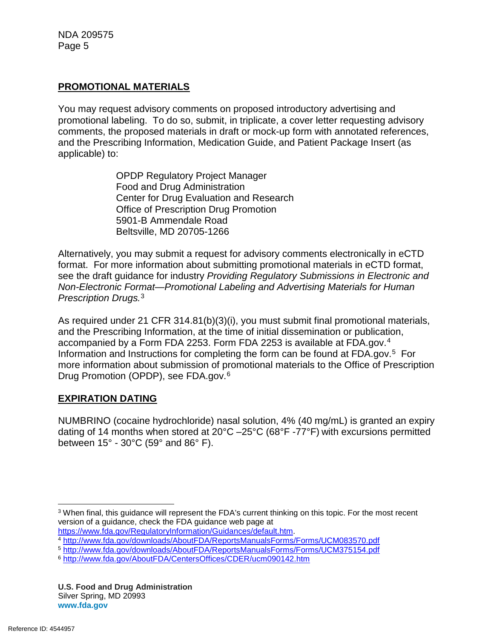### **PROMOTIONAL MATERIALS**

 promotional labeling. To do so, submit, in triplicate, a cover letter requesting advisory You may request advisory comments on proposed introductory advertising and comments, the proposed materials in draft or mock-up form with annotated references, and the Prescribing Information, Medication Guide, and Patient Package Insert (as applicable) to:

> OPDP Regulatory Project Manager Food and Drug Administration Center for Drug Evaluation and Research Office of Prescription Drug Promotion 5901-B Ammendale Road Beltsville, MD 20705-1266

 Alternatively, you may submit a request for advisory comments electronically in eCTD format. For more information about submitting promotional materials in eCTD format, see the draft guidance for industry *Providing Regulatory Submissions in Electronic and Non-Electronic Format—Promotional Labeling and Advertising Materials for Human Prescription Drugs.* 3

 accompanied by a Form FDA 2253. Form FDA 2253 is available at FDA.gov. 4 Information and Instructions for completing the form can be found at FDA.gov.<sup>5</sup> For As required under 21 CFR 314.81(b)(3)(i), you must submit final promotional materials, and the Prescribing Information, at the time of initial dissemination or publication, more information about submission of promotional materials to the Office of Prescription Drug Promotion (OPDP), see FDA.gov.6

### **EXPIRATION DATING**

 dating of 14 months when stored at 20°C –25°C (68°F -77°F) with excursions permitted between 15° - 30°C (59° and 86° F). NUMBRINO (cocaine hydrochloride) nasal solution, 4% (40 mg/mL) is granted an expiry

 $\overline{a}$ 3 When final, this guidance will represent the FDA's current thinking on this topic. For the most recent version of a guidance, check the FDA guidance web page at https://www.fda.gov/RequiatoryInformation/Guidances/default.htm.

https://www.fda.gov/RegulatoryInformation/Guidances/default.htm. 4 http://www.fda.gov/downloads/AboutFDA/ReportsManualsForms/Forms/UCM083570.pdf

<sup>5</sup> http://www.fda.gov/downloads/AboutFDA/ReportsManualsForms/Forms/UCM375154.pdf

<sup>6</sup> http://www.fda.gov/AboutFDA/CentersOffices/CDER/ucm090142.htm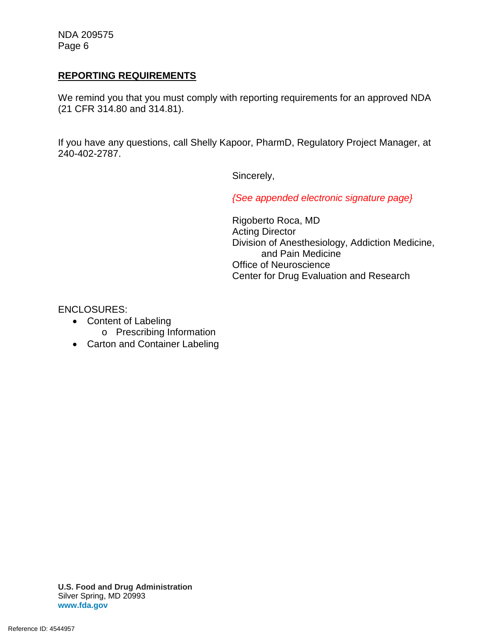#### **REPORTING REQUIREMENTS**

We remind you that you must comply with reporting requirements for an approved NDA (21 CFR 314.80 and 314.81).

 If you have any questions, call Shelly Kapoor, PharmD, Regulatory Project Manager, at 240-402-2787.

Sincerely,

*{See appended electronic signature page}* 

Rigoberto Roca, MD Acting Director Division of Anesthesiology, Addiction Medicine, and Pain Medicine Office of Neuroscience Center for Drug Evaluation and Research

ENCLOSURES:

- Content of Labeling
	- o Prescribing Information
- Carton and Container Labeling

 **U.S. Food and Drug Administration** Silver Spring, MD 20993 **www.fda.gov**